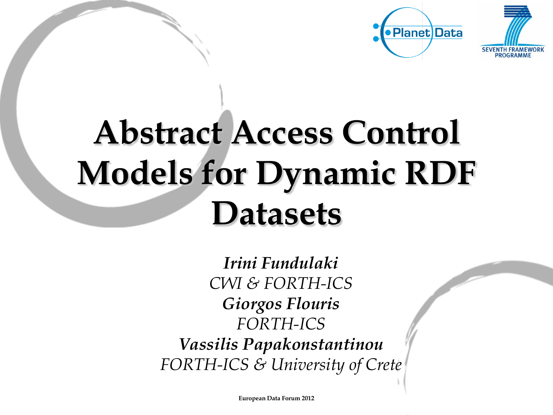

# **Abstract Access Control Models for Dynamic RDF Datasets**

*Irini Fundulaki CWI & FORTH-ICS Giorgos Flouris FORTH-ICS Vassilis Papakonstantinou FORTH-ICS & University of Crete*

**European Data Forum 2012**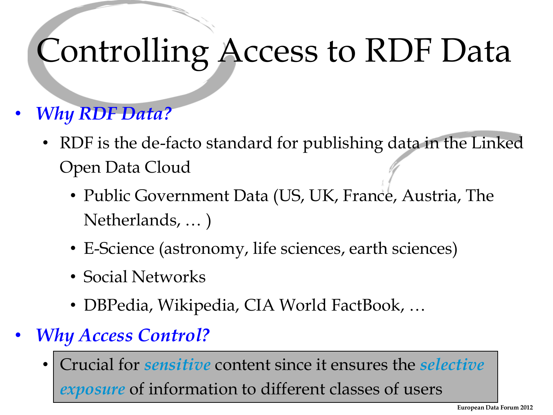## Controlling Access to RDF Data

#### • *Why RDF Data?*

- RDF is the de-facto standard for publishing data in the Linked Open Data Cloud
	- Public Government Data (US, UK, France, Austria, The Netherlands, … )
	- E-Science (astronomy, life sciences, earth sciences)
	- Social Networks
	- DBPedia, Wikipedia, CIA World FactBook, …
- *Why Access Control?*
	- Crucial for *sensitive* content since it ensures the *selective exposure* of information to different classes of users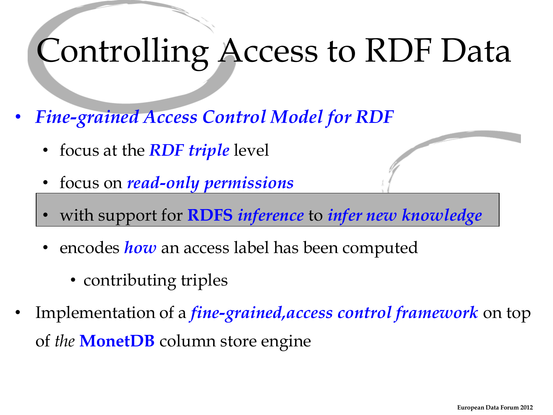### Controlling Access to RDF Data

- *Fine-grained Access Control Model for RDF*
	- focus at the *RDF triple* level
	- focus on *read-only permissions*
	- with support for **RDFS** *inference* to *infer new knowledge*
	- encodes *how* an access label has been computed
		- contributing triples
- Implementation of a *fine-grained,access control framework* on top of *the* **MonetDB** column store engine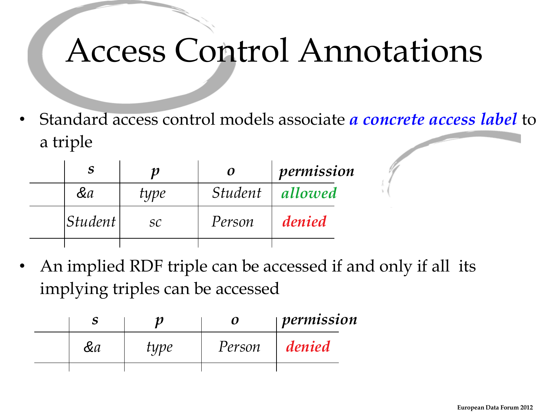### Access Control Annotations

• Standard access control models associate *a concrete access label* to a triple

|                |      |                | permission |
|----------------|------|----------------|------------|
| &a             | type | <i>Student</i> | allowed    |
| <i>Student</i> | SC   | Person         | denied     |
|                |      |                |            |

• An implied RDF triple can be accessed if and only if all its implying triples can be accessed

|    |      |        | permission |  |
|----|------|--------|------------|--|
| &а | type | Person | denied     |  |
|    |      |        |            |  |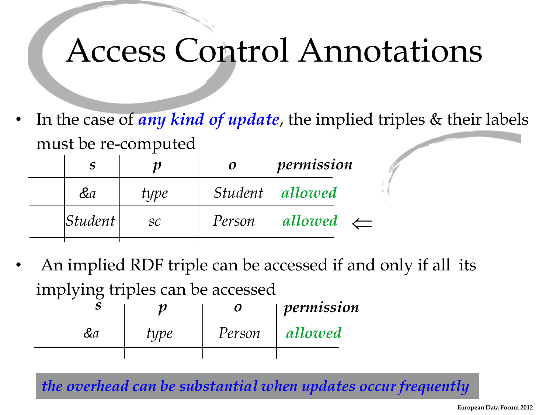### Access Control Annotations

• In the case of *any kind of update*, the implied triples & their labels must be re-computed

|                              |      | $\boldsymbol{o}$ | permission           |  |
|------------------------------|------|------------------|----------------------|--|
| &a                           | type |                  | Student   allowed    |  |
| <i><u><b>Student</b></u></i> | SC   | Person           | allowed $\leftarrow$ |  |

• An implied RDF triple can be accessed if and only if all its implying triples can be accessed

|    |      | 0      | permission |  |
|----|------|--------|------------|--|
| &a | type | Person | allowed    |  |
|    |      |        |            |  |

*the overhead can be substantial when updates occur frequently*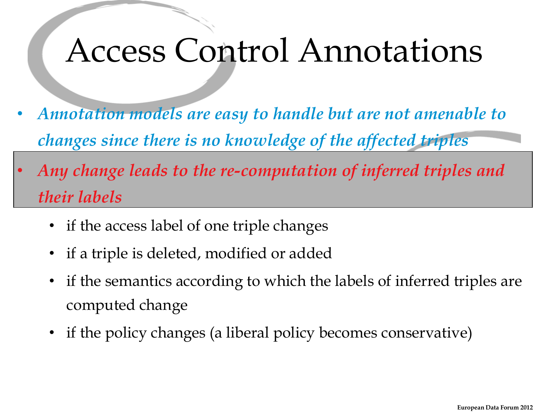#### Access Control Annotations

- *Annotation models are easy to handle but are not amenable to changes since there is no knowledge of the affected triples*
- *Any change leads to the re-computation of inferred triples and their labels*
	- if the access label of one triple changes
	- if a triple is deleted, modified or added
	- if the semantics according to which the labels of inferred triples are computed change
	- if the policy changes (a liberal policy becomes conservative)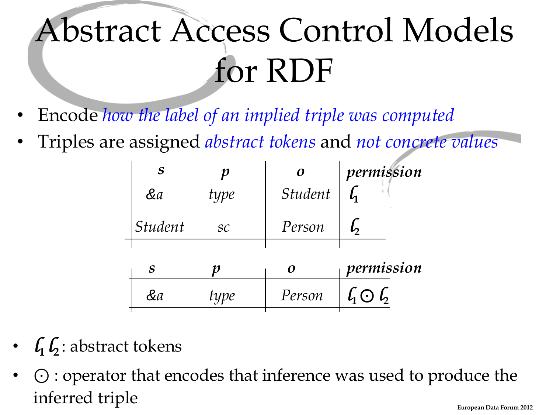# Abstract Access Control Models for RDF

- Encode *how the label of an implied triple was computed*
- Triples are assigned *abstract tokens* and *not concrete values*

|         |      |                       | permission |
|---------|------|-----------------------|------------|
| &a      | type | <i><b>Student</b></i> |            |
| Student | SC   | Person                |            |
|         |      |                       |            |

|    |      |        | permission                            |  |
|----|------|--------|---------------------------------------|--|
| ČИ | type | Person | $\int_{\mathbb{R}}$ $\bigcirc$ $\int$ |  |

- $\int_1 \int_2$ : abstract tokens
- ⊙ : operator that encodes that inference was used to produce the inferred triple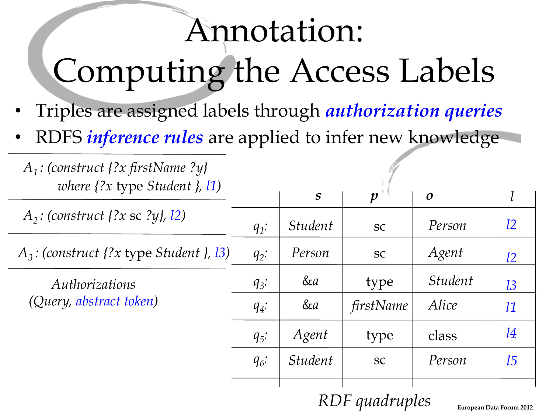## Annotation: Computing the Access Labels

- Triples are assigned labels through *authorization queries*
- RDFS *inference rules* are applied to infer new knowledge

| $A_1$ : (construct {?x firstName ?y}<br>where $\{?x$ type Student $\}$ , 11) |         |                       |                  |                       |                                 |
|------------------------------------------------------------------------------|---------|-----------------------|------------------|-----------------------|---------------------------------|
|                                                                              |         | $\boldsymbol{S}$      | $\boldsymbol{p}$ | $\boldsymbol{o}$      |                                 |
| $A_2$ : (construct {?x sc ?y}, 12)                                           | $q_1$ : | <i>Student</i>        | <b>SC</b>        | Person                | l2                              |
| $A_3$ : (construct {?x type Student }, 13)                                   | $q_2$ : | Person                | <b>SC</b>        | Agent                 | l2                              |
| Authorizations                                                               | $q_3$ : | &a                    | type             | <i><b>Student</b></i> | 13                              |
| (Query, abstract token)                                                      | $q_4$ : | &a                    | firstName        | Alice                 | l1                              |
|                                                                              | $q_5$ : | Agent                 | type             | class                 | 14                              |
|                                                                              | $q_6$ : | <i><b>Student</b></i> | <b>SC</b>        | Person                | 15                              |
|                                                                              |         |                       | RDF quadruples   |                       | <b>European Data Forum 2012</b> |

**European Data Forum 2012**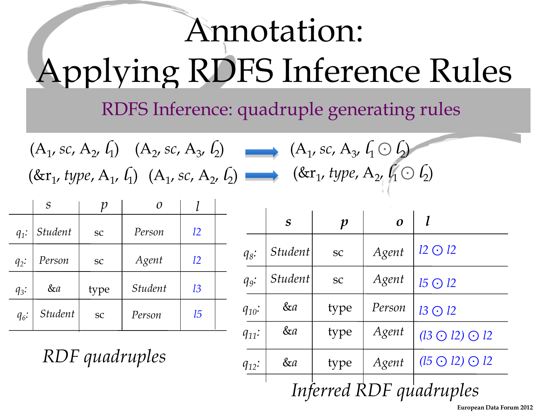# Annotation: Applying RDFS Inference Rules

#### RDFS Inference: quadruple generating rules

| $(A_1, sc, A_2, \ell_1)$ $(A_2, sc, A_3, \ell_2)$ $(A_1, sc, A_3, \ell_1 \odot \ell_2)$                           |  |
|-------------------------------------------------------------------------------------------------------------------|--|
| $(\&r_1, type, A_1, \ell_1)$ $(A_1, sc, A_2, \ell_2)$ $\longrightarrow$ $(\&r_1, type, A_2, \ell_1 \odot \ell_2)$ |  |

|         | $\boldsymbol{S}$ |      |                |    |  |
|---------|------------------|------|----------------|----|--|
| $q_1$ : | <b>Student</b>   | SC   | Person         | 12 |  |
| $q_2$ : | Person           | SC   | Agent          | l2 |  |
| $q_3$ : | &a               | type | <b>Student</b> | 13 |  |
| $q_6$ : | <b>Student</b>   | SC   | Person         | 15 |  |

*RDF quadruples*

|            | $\boldsymbol{S}$        | $\boldsymbol{p}$ | $\boldsymbol{o}$ |                                |  |  |  |
|------------|-------------------------|------------------|------------------|--------------------------------|--|--|--|
| $q_8$ :    | <i><b>Student</b></i>   | SC               | Agent            | $12 \bigodot 12$               |  |  |  |
| $q_9$ :    | <i><b>Student</b></i>   | SC               | Agent            | $15 \bigodot 12$               |  |  |  |
| $q_{10}$ : | &a                      | type             | Person           | $13 \bigodot 12$               |  |  |  |
| $q_{11}$ : | &a                      | type             | Agent            | $(13 \bigodot 12) \bigodot 12$ |  |  |  |
| $q_{12}$ : | &a                      | type             | Agent            | $(15 \bigodot 12) \bigodot 12$ |  |  |  |
|            | Inferred RDF quadruples |                  |                  |                                |  |  |  |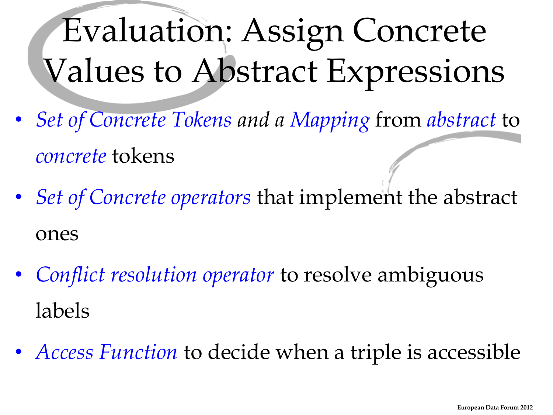# Evaluation: Assign Concrete Values to Abstract Expressions

- *Set of Concrete Tokens and a Mapping* from *abstract* to *concrete* tokens
- *Set of Concrete operators* that implement the abstract ones
- *Conflict resolution operator* to resolve ambiguous labels
- *Access Function* to decide when a triple is accessible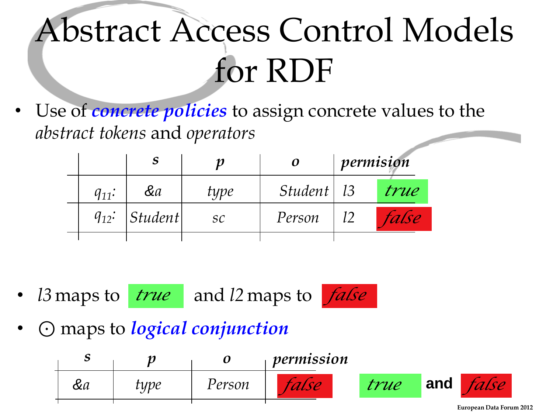# Abstract Access Control Models for RDF

• Use of *concrete policies* to assign concrete values to the *abstract tokens* and *operators*

|            |                    |      | 0            | permision |       |
|------------|--------------------|------|--------------|-----------|-------|
| $q_{11}$ : | &a                 | type | Student   13 |           | true  |
|            | $q_{12}$ : Student | SC   | Person       |           | false |
|            |                    |      |              |           |       |

• *l3* maps to *true* and *l2* maps to *false* 



• ⊙ maps to *logical conjunction*

| ັ  |      |        | permission |      |     |  |
|----|------|--------|------------|------|-----|--|
| &α | type | Person |            | true | and |  |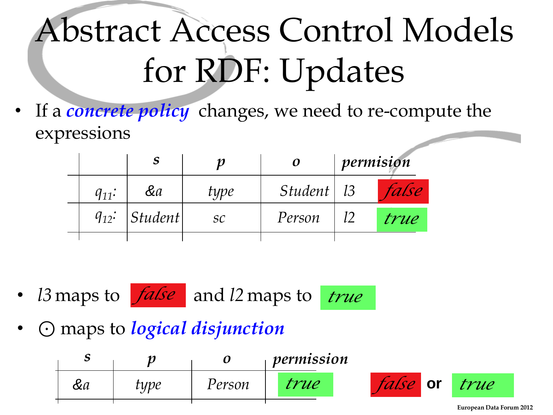# Abstract Access Control Models for RDF: Updates

If a *concrete policy* changes, we need to re-compute the expressions

|            |         |      | 0                 | permision |       |
|------------|---------|------|-------------------|-----------|-------|
| $q_{11}$ : | &a      | type | $Student \mid 13$ |           | false |
| $q_{12}$ : | Student | SC   | Person            |           | true  |
|            |         |      |                   |           |       |

- *l3* maps to  $false$  and *l2* maps to *true*
- ⊙ maps to *logical disjunction*

| ມ  |      |        | permission |                 |                          |  |
|----|------|--------|------------|-----------------|--------------------------|--|
| &α | type | Person | rue        | <i>talse</i> or | true                     |  |
|    |      |        |            |                 | European Data Forum 2012 |  |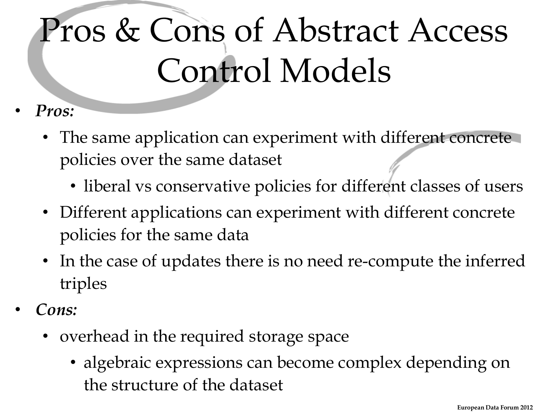# Pros & Cons of Abstract Access Control Models

- *Pros:*
	- The same application can experiment with different concrete policies over the same dataset
		- liberal vs conservative policies for different classes of users
	- Different applications can experiment with different concrete policies for the same data
	- In the case of updates there is no need re-compute the inferred triples
- *Cons:*
	- overhead in the required storage space
		- algebraic expressions can become complex depending on the structure of the dataset